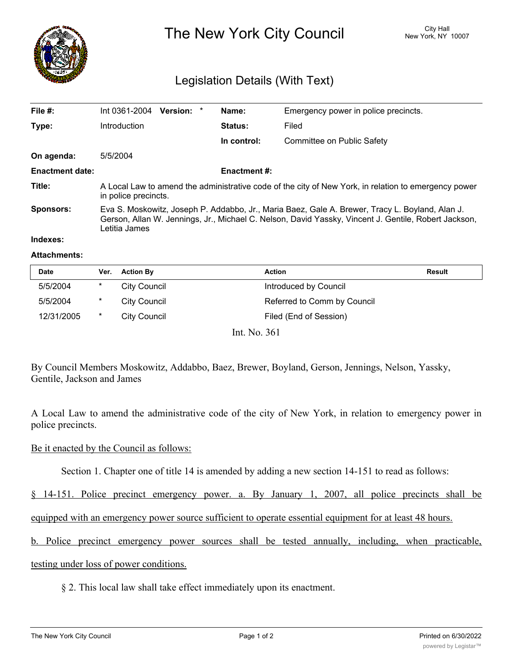

The New York City Council New York, NY 10007

# Legislation Details (With Text)

| File #:                | Int 0361-2004                                                                                                                                                                                                            | <b>Version:</b> |  | Name:               | Emergency power in police precincts. |  |
|------------------------|--------------------------------------------------------------------------------------------------------------------------------------------------------------------------------------------------------------------------|-----------------|--|---------------------|--------------------------------------|--|
| Type:                  | Introduction                                                                                                                                                                                                             |                 |  | <b>Status:</b>      | Filed                                |  |
|                        |                                                                                                                                                                                                                          |                 |  | In control:         | Committee on Public Safety           |  |
| On agenda:             | 5/5/2004                                                                                                                                                                                                                 |                 |  |                     |                                      |  |
| <b>Enactment date:</b> |                                                                                                                                                                                                                          |                 |  | <b>Enactment #:</b> |                                      |  |
| Title:                 | A Local Law to amend the administrative code of the city of New York, in relation to emergency power<br>in police precincts.                                                                                             |                 |  |                     |                                      |  |
| <b>Sponsors:</b>       | Eva S. Moskowitz, Joseph P. Addabbo, Jr., Maria Baez, Gale A. Brewer, Tracy L. Boyland, Alan J.<br>Gerson, Allan W. Jennings, Jr., Michael C. Nelson, David Yassky, Vincent J. Gentile, Robert Jackson,<br>Letitia James |                 |  |                     |                                      |  |
| lndexes:               |                                                                                                                                                                                                                          |                 |  |                     |                                      |  |

#### **Attachments:**

| Date       | Ver.   | <b>Action By</b>    | <b>Action</b>               | <b>Result</b> |
|------------|--------|---------------------|-----------------------------|---------------|
| 5/5/2004   | *      | <b>City Council</b> | Introduced by Council       |               |
| 5/5/2004   | *      | <b>City Council</b> | Referred to Comm by Council |               |
| 12/31/2005 | $\ast$ | City Council        | Filed (End of Session)      |               |
|            |        |                     | Int. No. 361                |               |

By Council Members Moskowitz, Addabbo, Baez, Brewer, Boyland, Gerson, Jennings, Nelson, Yassky, Gentile, Jackson and James

A Local Law to amend the administrative code of the city of New York, in relation to emergency power in police precincts.

### Be it enacted by the Council as follows:

Section 1. Chapter one of title 14 is amended by adding a new section 14-151 to read as follows:

§ 14-151. Police precinct emergency power. a. By January 1, 2007, all police precincts shall be

equipped with an emergency power source sufficient to operate essential equipment for at least 48 hours.

b. Police precinct emergency power sources shall be tested annually, including, when practicable,

testing under loss of power conditions.

### § 2. This local law shall take effect immediately upon its enactment.